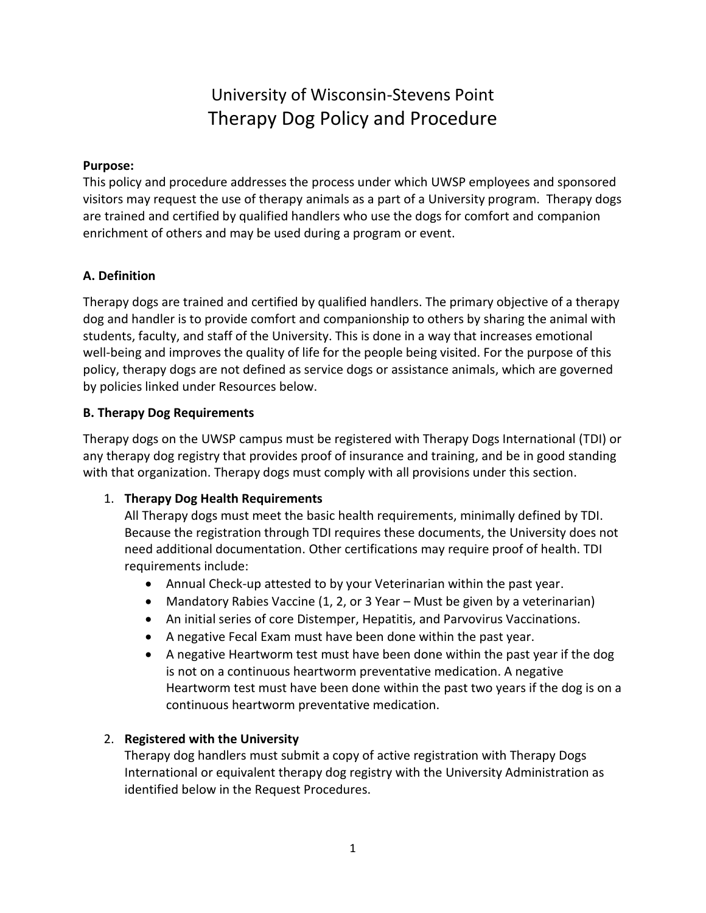# University of Wisconsin-Stevens Point Therapy Dog Policy and Procedure

## **Purpose:**

This policy and procedure addresses the process under which UWSP employees and sponsored visitors may request the use of therapy animals as a part of a University program. Therapy dogs are trained and certified by qualified handlers who use the dogs for comfort and companion enrichment of others and may be used during a program or event.

# **A. Definition**

Therapy dogs are trained and certified by qualified handlers. The primary objective of a therapy dog and handler is to provide comfort and companionship to others by sharing the animal with students, faculty, and staff of the University. This is done in a way that increases emotional well-being and improves the quality of life for the people being visited. For the purpose of this policy, therapy dogs are not defined as service dogs or assistance animals, which are governed by policies linked under Resources below.

## **B. Therapy Dog Requirements**

Therapy dogs on the UWSP campus must be registered with Therapy Dogs International (TDI) or any therapy dog registry that provides proof of insurance and training, and be in good standing with that organization. Therapy dogs must comply with all provisions under this section.

## 1. **Therapy Dog Health Requirements**

All Therapy dogs must meet the basic health requirements, minimally defined by TDI. Because the registration through TDI requires these documents, the University does not need additional documentation. Other certifications may require proof of health. TDI requirements include:

- Annual Check-up attested to by your Veterinarian within the past year.
- Mandatory Rabies Vaccine (1, 2, or 3 Year Must be given by a veterinarian)
- An initial series of core Distemper, Hepatitis, and Parvovirus Vaccinations.
- A negative Fecal Exam must have been done within the past year.
- A negative Heartworm test must have been done within the past year if the dog is not on a continuous heartworm preventative medication. A negative Heartworm test must have been done within the past two years if the dog is on a continuous heartworm preventative medication.

# 2. **Registered with the University**

Therapy dog handlers must submit a copy of active registration with Therapy Dogs International or equivalent therapy dog registry with the University Administration as identified below in the Request Procedures.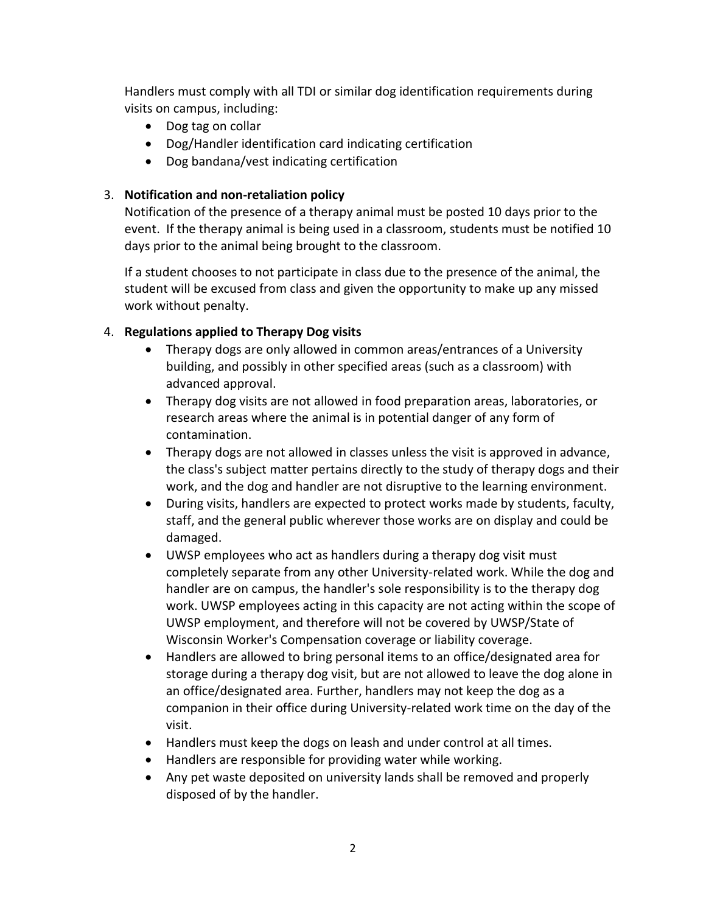Handlers must comply with all TDI or similar dog identification requirements during visits on campus, including:

- Dog tag on collar
- Dog/Handler identification card indicating certification
- Dog bandana/vest indicating certification

# 3. **Notification and non-retaliation policy**

Notification of the presence of a therapy animal must be posted 10 days prior to the event. If the therapy animal is being used in a classroom, students must be notified 10 days prior to the animal being brought to the classroom.

If a student chooses to not participate in class due to the presence of the animal, the student will be excused from class and given the opportunity to make up any missed work without penalty.

# 4. **Regulations applied to Therapy Dog visits**

- Therapy dogs are only allowed in common areas/entrances of a University building, and possibly in other specified areas (such as a classroom) with advanced approval.
- Therapy dog visits are not allowed in food preparation areas, laboratories, or research areas where the animal is in potential danger of any form of contamination.
- Therapy dogs are not allowed in classes unless the visit is approved in advance, the class's subject matter pertains directly to the study of therapy dogs and their work, and the dog and handler are not disruptive to the learning environment.
- During visits, handlers are expected to protect works made by students, faculty, staff, and the general public wherever those works are on display and could be damaged.
- UWSP employees who act as handlers during a therapy dog visit must completely separate from any other University-related work. While the dog and handler are on campus, the handler's sole responsibility is to the therapy dog work. UWSP employees acting in this capacity are not acting within the scope of UWSP employment, and therefore will not be covered by UWSP/State of Wisconsin Worker's Compensation coverage or liability coverage.
- Handlers are allowed to bring personal items to an office/designated area for storage during a therapy dog visit, but are not allowed to leave the dog alone in an office/designated area. Further, handlers may not keep the dog as a companion in their office during University-related work time on the day of the visit.
- Handlers must keep the dogs on leash and under control at all times.
- Handlers are responsible for providing water while working.
- Any pet waste deposited on university lands shall be removed and properly disposed of by the handler.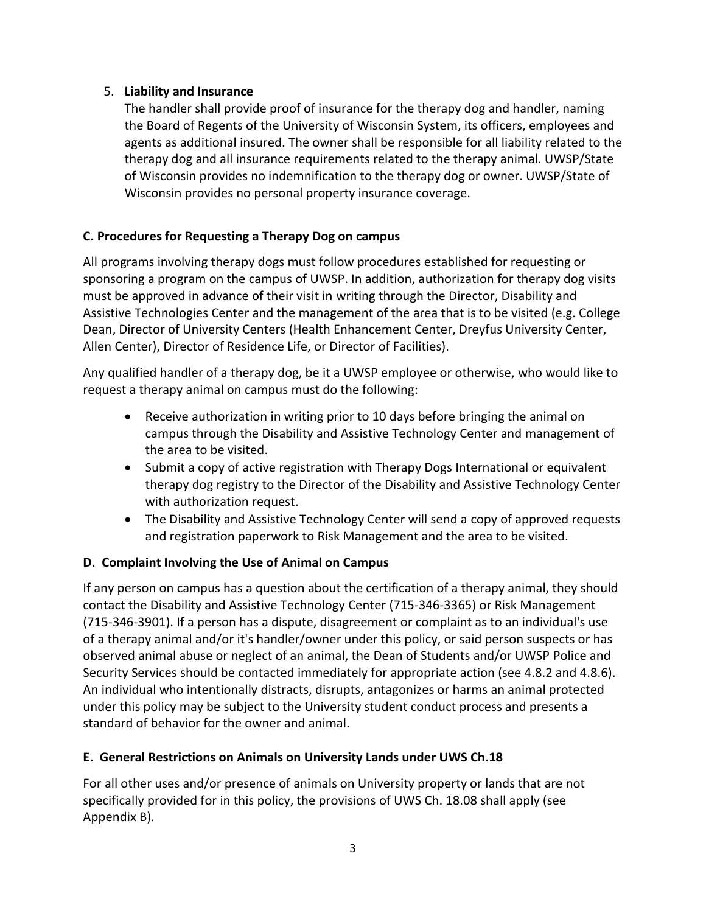# 5. **Liability and Insurance**

The handler shall provide proof of insurance for the therapy dog and handler, naming the Board of Regents of the University of Wisconsin System, its officers, employees and agents as additional insured. The owner shall be responsible for all liability related to the therapy dog and all insurance requirements related to the therapy animal. UWSP/State of Wisconsin provides no indemnification to the therapy dog or owner. UWSP/State of Wisconsin provides no personal property insurance coverage.

# **C. Procedures for Requesting a Therapy Dog on campus**

All programs involving therapy dogs must follow procedures established for requesting or sponsoring a program on the campus of UWSP. In addition, authorization for therapy dog visits must be approved in advance of their visit in writing through the Director, Disability and Assistive Technologies Center and the management of the area that is to be visited (e.g. College Dean, Director of University Centers (Health Enhancement Center, Dreyfus University Center, Allen Center), Director of Residence Life, or Director of Facilities).

Any qualified handler of a therapy dog, be it a UWSP employee or otherwise, who would like to request a therapy animal on campus must do the following:

- Receive authorization in writing prior to 10 days before bringing the animal on campus through the Disability and Assistive Technology Center and management of the area to be visited.
- Submit a copy of active registration with Therapy Dogs International or equivalent therapy dog registry to the Director of the Disability and Assistive Technology Center with authorization request.
- The Disability and Assistive Technology Center will send a copy of approved requests and registration paperwork to Risk Management and the area to be visited.

# **D. Complaint Involving the Use of Animal on Campus**

If any person on campus has a question about the certification of a therapy animal, they should contact the Disability and Assistive Technology Center (715-346-3365) or Risk Management (715-346-3901). If a person has a dispute, disagreement or complaint as to an individual's use of a therapy animal and/or it's handler/owner under this policy, or said person suspects or has observed animal abuse or neglect of an animal, the Dean of Students and/or UWSP Police and Security Services should be contacted immediately for appropriate action (see 4.8.2 and 4.8.6). An individual who intentionally distracts, disrupts, antagonizes or harms an animal protected under this policy may be subject to the University student conduct process and presents a standard of behavior for the owner and animal.

# **E. General Restrictions on Animals on University Lands under UWS Ch.18**

For all other uses and/or presence of animals on University property or lands that are not specifically provided for in this policy, the provisions of UWS Ch. 18.08 shall apply (see Appendix B).